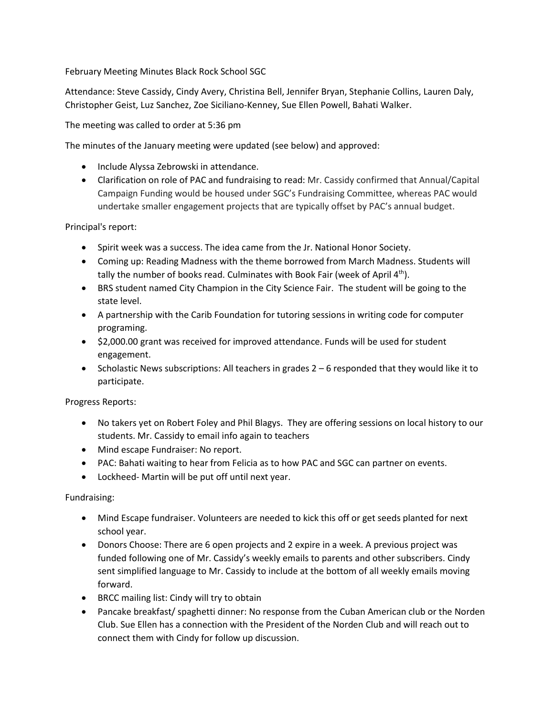February Meeting Minutes Black Rock School SGC

Attendance: Steve Cassidy, Cindy Avery, Christina Bell, Jennifer Bryan, Stephanie Collins, Lauren Daly, Christopher Geist, Luz Sanchez, Zoe Siciliano-Kenney, Sue Ellen Powell, Bahati Walker.

The meeting was called to order at 5:36 pm

The minutes of the January meeting were updated (see below) and approved:

- Include Alyssa Zebrowski in attendance.
- Clarification on role of PAC and fundraising to read: Mr. Cassidy confirmed that Annual/Capital Campaign Funding would be housed under SGC's Fundraising Committee, whereas PAC would undertake smaller engagement projects that are typically offset by PAC's annual budget.

Principal's report:

- Spirit week was a success. The idea came from the Jr. National Honor Society.
- Coming up: Reading Madness with the theme borrowed from March Madness. Students will tally the number of books read. Culminates with Book Fair (week of April  $4<sup>th</sup>$ ).
- BRS student named City Champion in the City Science Fair. The student will be going to the state level.
- A partnership with the Carib Foundation for tutoring sessions in writing code for computer programing.
- \$2,000.00 grant was received for improved attendance. Funds will be used for student engagement.
- Scholastic News subscriptions: All teachers in grades  $2-6$  responded that they would like it to participate.

Progress Reports:

- No takers yet on Robert Foley and Phil Blagys. They are offering sessions on local history to our students. Mr. Cassidy to email info again to teachers
- Mind escape Fundraiser: No report.
- PAC: Bahati waiting to hear from Felicia as to how PAC and SGC can partner on events.
- Lockheed- Martin will be put off until next year.

Fundraising:

- Mind Escape fundraiser. Volunteers are needed to kick this off or get seeds planted for next school year.
- Donors Choose: There are 6 open projects and 2 expire in a week. A previous project was funded following one of Mr. Cassidy's weekly emails to parents and other subscribers. Cindy sent simplified language to Mr. Cassidy to include at the bottom of all weekly emails moving forward.
- BRCC mailing list: Cindy will try to obtain
- Pancake breakfast/ spaghetti dinner: No response from the Cuban American club or the Norden Club. Sue Ellen has a connection with the President of the Norden Club and will reach out to connect them with Cindy for follow up discussion.